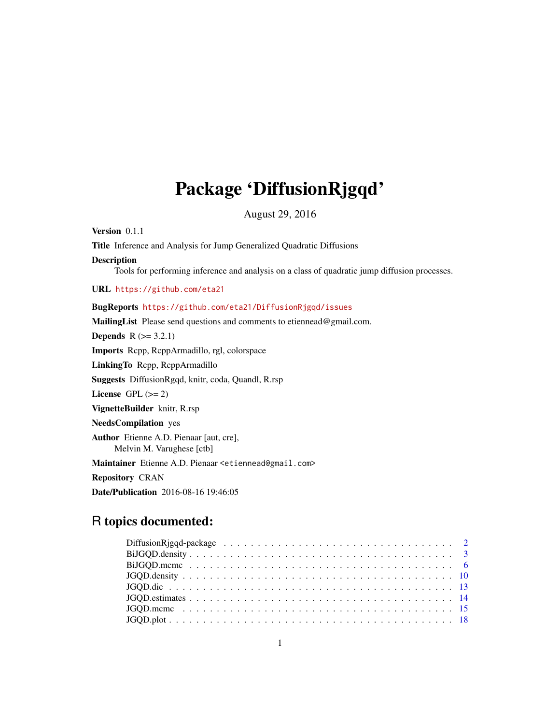# Package 'DiffusionRjgqd'

August 29, 2016

Version 0.1.1

Title Inference and Analysis for Jump Generalized Quadratic Diffusions

#### Description

Tools for performing inference and analysis on a class of quadratic jump diffusion processes.

URL <https://github.com/eta21>

# BugReports <https://github.com/eta21/DiffusionRjgqd/issues>

MailingList Please send questions and comments to etiennead@gmail.com.

**Depends**  $R$  ( $>= 3.2.1$ )

Imports Rcpp, RcppArmadillo, rgl, colorspace

LinkingTo Rcpp, RcppArmadillo

Suggests DiffusionRgqd, knitr, coda, Quandl, R.rsp

License GPL  $(>= 2)$ 

VignetteBuilder knitr, R.rsp

NeedsCompilation yes

Author Etienne A.D. Pienaar [aut, cre], Melvin M. Varughese [ctb]

Maintainer Etienne A.D. Pienaar <etiennead@gmail.com>

Repository CRAN

Date/Publication 2016-08-16 19:46:05

# R topics documented: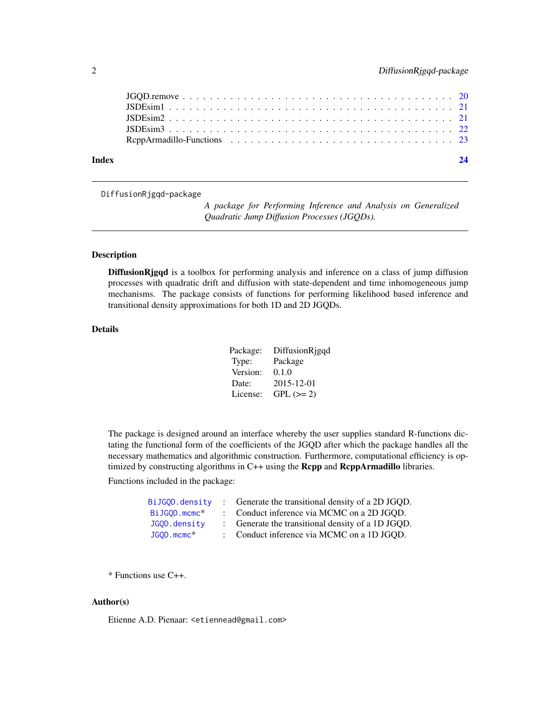<span id="page-1-0"></span>

DiffusionRjgqd-package

*A package for Performing Inference and Analysis on Generalized Quadratic Jump Diffusion Processes (JGQDs).*

#### Description

DiffusionRjgqd is a toolbox for performing analysis and inference on a class of jump diffusion processes with quadratic drift and diffusion with state-dependent and time inhomogeneous jump mechanisms. The package consists of functions for performing likelihood based inference and transitional density approximations for both 1D and 2D JGQDs.

# Details

| Package: | DiffusionRjgqd |
|----------|----------------|
| Type:    | Package        |
| Version: | 0.1.0          |
| Date:    | 2015-12-01     |
| License: | $GPL (=2)$     |

The package is designed around an interface whereby the user supplies standard R-functions dictating the functional form of the coefficients of the JGQD after which the package handles all the necessary mathematics and algorithmic construction. Furthermore, computational efficiency is optimized by constructing algorithms in C++ using the Rcpp and RcppArmadillo libraries.

Functions included in the package:

| BiJGOD.density           | Generate the transitional density of a 2D JGQD. |
|--------------------------|-------------------------------------------------|
| BiJGOD.mcmc <sup>*</sup> | : Conduct inference via MCMC on a 2D JGQD.      |
| JGQD.density             | Generate the transitional density of a 1D JGQD. |
| JGOD.mcmc <sup>*</sup>   | Conduct inference via MCMC on a 1D JGQD.        |

\* Functions use C++.

#### Author(s)

Etienne A.D. Pienaar: <etiennead@gmail.com>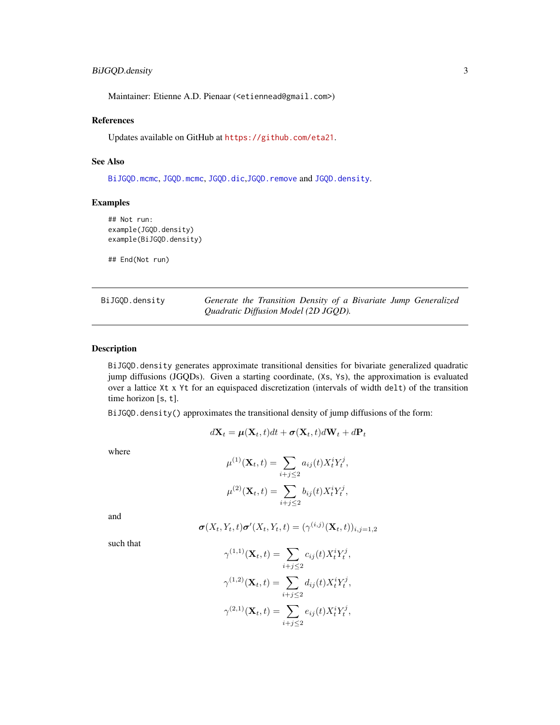# <span id="page-2-0"></span>BiJGQD.density 3

Maintainer: Etienne A.D. Pienaar (<etiennead@gmail.com>)

#### References

Updates available on GitHub at <https://github.com/eta21>.

# See Also

[BiJGQD.mcmc](#page-5-1), [JGQD.mcmc](#page-14-1), [JGQD.dic](#page-12-1),[JGQD.remove](#page-19-1) and [JGQD.density](#page-9-1).

# Examples

```
## Not run:
example(JGQD.density)
example(BiJGQD.density)
```
## End(Not run)

<span id="page-2-1"></span>

| BiJGOD.density | Generate the Transition Density of a Bivariate Jump Generalized |
|----------------|-----------------------------------------------------------------|
|                | Quadratic Diffusion Model (2D JGQD).                            |

# Description

BiJGQD.density generates approximate transitional densities for bivariate generalized quadratic jump diffusions (JGQDs). Given a starting coordinate, (Xs, Ys), the approximation is evaluated over a lattice Xt x Yt for an equispaced discretization (intervals of width delt) of the transition time horizon [s, t].

BiJGQD.density() approximates the transitional density of jump diffusions of the form:

$$
d\mathbf{X}_t = \boldsymbol{\mu}(\mathbf{X}_t, t)dt + \boldsymbol{\sigma}(\mathbf{X}_t, t)d\mathbf{W}_t + d\mathbf{P}_t
$$

where

$$
\mu^{(1)}(\mathbf{X}_t, t) = \sum_{i+j \le 2} a_{ij}(t) X_t^i Y_t^j,
$$
  

$$
\mu^{(2)}(\mathbf{X}_t, t) = \sum_{i+j \le 2} b_{ij}(t) X_t^i Y_t^j,
$$

and

$$
\boldsymbol{\sigma}(X_t,Y_t,t)\boldsymbol{\sigma}'(X_t,Y_t,t)=(\gamma^{(i,j)}(\mathbf{X}_t,t))_{i,j=1,2}
$$

such that

$$
\gamma^{(1,1)}(\mathbf{X}_t, t) = \sum_{i+j \leq 2} c_{ij}(t) X_t^i Y_t^j,
$$
  

$$
\gamma^{(1,2)}(\mathbf{X}_t, t) = \sum_{i+j \leq 2} d_{ij}(t) X_t^i Y_t^j,
$$
  

$$
\gamma^{(2,1)}(\mathbf{X}_t, t) = \sum_{i+j \leq 2} e_{ij}(t) X_t^i Y_t^j,
$$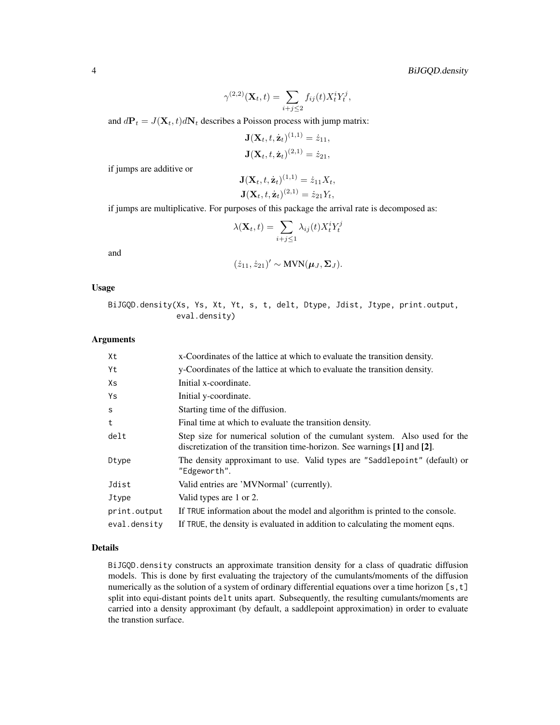$$
\gamma^{(2,2)}(\mathbf{X}_t, t) = \sum_{i+j \leq 2} f_{ij}(t) X_t^i Y_t^j,
$$

and  $d\mathbf{P}_t = J(\mathbf{X}_t, t) d\mathbf{N}_t$  describes a Poisson process with jump matrix:

$$
J(Xt, t, żt)(1,1) = ż11,J(Xt, t, żt)(2,1) = ż21,
$$

if jumps are additive or

$$
\mathbf{J}(\mathbf{X}_t, t, \dot{\mathbf{z}}_t)^{(1,1)} = \dot{z}_{11} X_t,
$$
  

$$
\mathbf{J}(\mathbf{X}_t, t, \dot{\mathbf{z}}_t)^{(2,1)} = \dot{z}_{21} Y_t,
$$

if jumps are multiplicative. For purposes of this package the arrival rate is decomposed as:

$$
\lambda(\mathbf{X}_t, t) = \sum_{i+j \leq 1} \lambda_{ij}(t) X_t^i Y_t^j
$$

and

$$
(\dot{z}_{11}, \dot{z}_{21})' \sim \text{MVN}(\boldsymbol{\mu}_J, \boldsymbol{\Sigma}_J).
$$

#### Usage

BiJGQD.density(Xs, Ys, Xt, Yt, s, t, delt, Dtype, Jdist, Jtype, print.output, eval.density)

#### Arguments

| Xt           | x-Coordinates of the lattice at which to evaluate the transition density.                                                                              |  |  |  |  |  |
|--------------|--------------------------------------------------------------------------------------------------------------------------------------------------------|--|--|--|--|--|
| Yt           | y-Coordinates of the lattice at which to evaluate the transition density.                                                                              |  |  |  |  |  |
| Xs           | Initial x-coordinate.                                                                                                                                  |  |  |  |  |  |
| Ys           | Initial y-coordinate.                                                                                                                                  |  |  |  |  |  |
| <sub>S</sub> | Starting time of the diffusion.                                                                                                                        |  |  |  |  |  |
| t            | Final time at which to evaluate the transition density.                                                                                                |  |  |  |  |  |
| delt         | Step size for numerical solution of the cumulant system. Also used for the<br>discretization of the transition time-horizon. See warnings [1] and [2]. |  |  |  |  |  |
| Dtype        | The density approximant to use. Valid types are "Saddlepoint" (default) or<br>"Edgeworth".                                                             |  |  |  |  |  |
| Jdist        | Valid entries are 'MVNormal' (currently).                                                                                                              |  |  |  |  |  |
| Jtype        | Valid types are 1 or 2.                                                                                                                                |  |  |  |  |  |
| print.output | If TRUE information about the model and algorithm is printed to the console.                                                                           |  |  |  |  |  |
| eval.density | If TRUE, the density is evaluated in addition to calculating the moment eqns.                                                                          |  |  |  |  |  |

#### Details

BiJGQD.density constructs an approximate transition density for a class of quadratic diffusion models. This is done by first evaluating the trajectory of the cumulants/moments of the diffusion numerically as the solution of a system of ordinary differential equations over a time horizon  $[s, t]$ split into equi-distant points delt units apart. Subsequently, the resulting cumulants/moments are carried into a density approximant (by default, a saddlepoint approximation) in order to evaluate the transtion surface.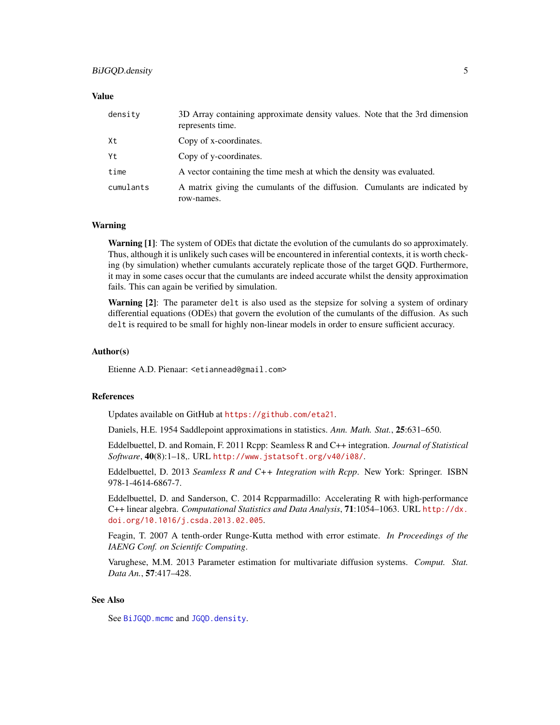#### <span id="page-4-0"></span>Value

| density   | 3D Array containing approximate density values. Note that the 3rd dimension<br>represents time. |
|-----------|-------------------------------------------------------------------------------------------------|
| Xt        | Copy of x-coordinates.                                                                          |
| Yt        | Copy of y-coordinates.                                                                          |
| time      | A vector containing the time mesh at which the density was evaluated.                           |
| cumulants | A matrix giving the cumulants of the diffusion. Cumulants are indicated by<br>row-names.        |

#### Warning

**Warning [1]:** The system of ODEs that dictate the evolution of the cumulants do so approximately. Thus, although it is unlikely such cases will be encountered in inferential contexts, it is worth checking (by simulation) whether cumulants accurately replicate those of the target GQD. Furthermore, it may in some cases occur that the cumulants are indeed accurate whilst the density approximation fails. This can again be verified by simulation.

Warning [2]: The parameter delt is also used as the stepsize for solving a system of ordinary differential equations (ODEs) that govern the evolution of the cumulants of the diffusion. As such delt is required to be small for highly non-linear models in order to ensure sufficient accuracy.

#### Author(s)

Etienne A.D. Pienaar: <etiannead@gmail.com>

#### References

Updates available on GitHub at <https://github.com/eta21>.

Daniels, H.E. 1954 Saddlepoint approximations in statistics. *Ann. Math. Stat.*, 25:631–650.

Eddelbuettel, D. and Romain, F. 2011 Rcpp: Seamless R and C++ integration. *Journal of Statistical Software*, 40(8):1–18,. URL <http://www.jstatsoft.org/v40/i08/>.

Eddelbuettel, D. 2013 *Seamless R and C++ Integration with Rcpp*. New York: Springer. ISBN 978-1-4614-6867-7.

Eddelbuettel, D. and Sanderson, C. 2014 Rcpparmadillo: Accelerating R with high-performance C++ linear algebra. *Computational Statistics and Data Analysis*, 71:1054–1063. URL [http://dx.](http://dx.doi.org/10.1016/j.csda.2013.02.005) [doi.org/10.1016/j.csda.2013.02.005](http://dx.doi.org/10.1016/j.csda.2013.02.005).

Feagin, T. 2007 A tenth-order Runge-Kutta method with error estimate. *In Proceedings of the IAENG Conf. on Scientifc Computing*.

Varughese, M.M. 2013 Parameter estimation for multivariate diffusion systems. *Comput. Stat. Data An.*, 57:417–428.

# See Also

See [BiJGQD.mcmc](#page-5-1) and [JGQD.density](#page-9-1).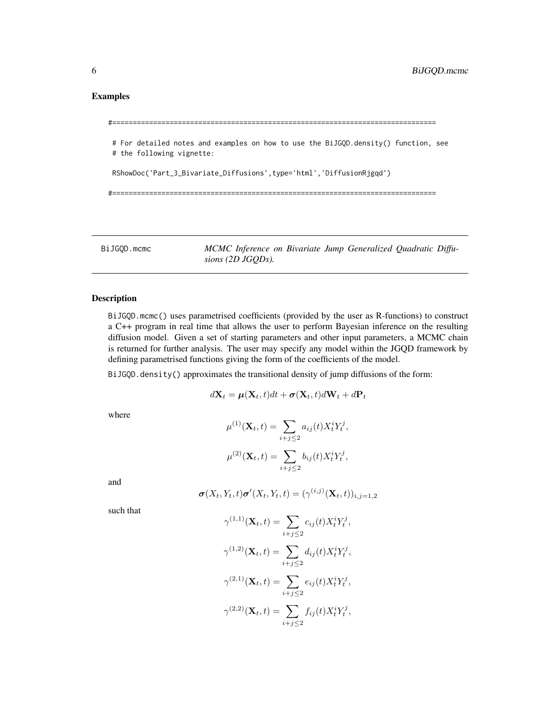# <span id="page-5-0"></span>Examples

```
#===============================================================================
# For detailed notes and examples on how to use the BiJGQD.density() function, see
# the following vignette:
RShowDoc('Part_3_Bivariate_Diffusions',type='html','DiffusionRjgqd')
#===============================================================================
```
<span id="page-5-1"></span>BiJGQD.mcmc *MCMC Inference on Bivariate Jump Generalized Quadratic Diffusions (2D JGQDs).*

#### Description

BiJGQD.mcmc() uses parametrised coefficients (provided by the user as R-functions) to construct a C++ program in real time that allows the user to perform Bayesian inference on the resulting diffusion model. Given a set of starting parameters and other input parameters, a MCMC chain is returned for further analysis. The user may specify any model within the JGQD framework by defining parametrised functions giving the form of the coefficients of the model.

BiJGQD.density() approximates the transitional density of jump diffusions of the form:

$$
d\mathbf{X}_t = \boldsymbol{\mu}(\mathbf{X}_t, t)dt + \boldsymbol{\sigma}(\mathbf{X}_t, t)d\mathbf{W}_t + d\mathbf{P}_t
$$

where

$$
\mu^{(1)}(\mathbf{X}_t, t) = \sum_{i+j \leq 2} a_{ij}(t) X_t^i Y_t^j,
$$
  

$$
\mu^{(2)}(\mathbf{X}_t, t) = \sum_{i+j \leq 2} b_{ij}(t) X_t^i Y_t^j,
$$

and

$$
\boldsymbol{\sigma}(X_t,Y_t,t)\boldsymbol{\sigma}'(X_t,Y_t,t)=(\gamma^{(i,j)}(\mathbf{X}_t,t))_{i,j=1,2}
$$

such that

$$
\gamma^{(1,1)}(\mathbf{X}_t, t) = \sum_{i+j \leq 2} c_{ij}(t) X_t^i Y_t^j,
$$
  

$$
\gamma^{(1,2)}(\mathbf{X}_t, t) = \sum_{i+j \leq 2} d_{ij}(t) X_t^i Y_t^j,
$$
  

$$
\gamma^{(2,1)}(\mathbf{X}_t, t) = \sum_{i+j \leq 2} e_{ij}(t) X_t^i Y_t^j,
$$
  

$$
\gamma^{(2,2)}(\mathbf{X}_t, t) = \sum_{i+j \leq 2} f_{ij}(t) X_t^i Y_t^j,
$$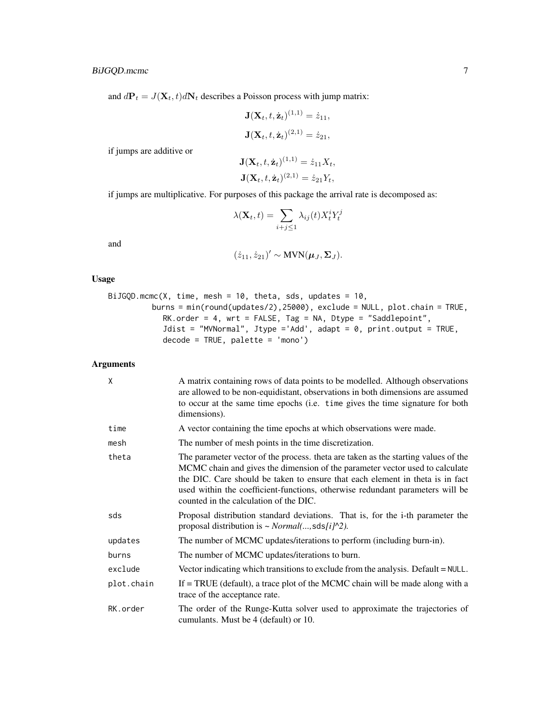and  $d\mathbf{P}_t = J(\mathbf{X}_t, t) d\mathbf{N}_t$  describes a Poisson process with jump matrix:

$$
\mathbf{J}(\mathbf{X}_t, t, \dot{\mathbf{z}}_t)^{(1,1)} = \dot{z}_{11},
$$
  

$$
\mathbf{J}(\mathbf{X}_t, t, \dot{\mathbf{z}}_t)^{(2,1)} = \dot{z}_{21},
$$

if jumps are additive or

$$
\mathbf{J}(\mathbf{X}_t, t, \dot{\mathbf{z}}_t)^{(1,1)} = \dot{z}_{11} X_t,
$$
  

$$
\mathbf{J}(\mathbf{X}_t, t, \dot{\mathbf{z}}_t)^{(2,1)} = \dot{z}_{21} Y_t,
$$

if jumps are multiplicative. For purposes of this package the arrival rate is decomposed as:

$$
\lambda(\mathbf{X}_t, t) = \sum_{i+j \leq 1} \lambda_{ij}(t) X_t^i Y_t^j
$$

and

$$
(\dot{z}_{11}, \dot{z}_{21})' \sim \text{MVN}(\boldsymbol{\mu}_J, \boldsymbol{\Sigma}_J).
$$

# Usage

```
BiJGQD.mcmc(X, time, mesh = 10, theta, sds, updates = 10,
         burns = min(round(updates/2),25000), exclude = NULL, plot.chain = TRUE,
            RK.order = 4, wrt = FALSE, Tag = NA, Dtype = "Saddlepoint",
            Jdist = "MVNormal", Jtype ='Add', adapt = 0, print.output = TRUE,
            decode = TRUE, platete = 'mono')
```
### Arguments

| X          | A matrix containing rows of data points to be modelled. Although observations<br>are allowed to be non-equidistant, observations in both dimensions are assumed<br>to occur at the same time epochs (i.e. time gives the time signature for both<br>dimensions).                                                                                                               |
|------------|--------------------------------------------------------------------------------------------------------------------------------------------------------------------------------------------------------------------------------------------------------------------------------------------------------------------------------------------------------------------------------|
| time       | A vector containing the time epochs at which observations were made.                                                                                                                                                                                                                                                                                                           |
| mesh       | The number of mesh points in the time discretization.                                                                                                                                                                                                                                                                                                                          |
| theta      | The parameter vector of the process, theta are taken as the starting values of the<br>MCMC chain and gives the dimension of the parameter vector used to calculate<br>the DIC. Care should be taken to ensure that each element in theta is in fact<br>used within the coefficient-functions, otherwise redundant parameters will be<br>counted in the calculation of the DIC. |
| sds        | Proposal distribution standard deviations. That is, for the i-th parameter the<br>proposal distribution is $\sim Normal(, sds[i] \sim 2$ ).                                                                                                                                                                                                                                    |
| updates    | The number of MCMC updates/iterations to perform (including burn-in).                                                                                                                                                                                                                                                                                                          |
| burns      | The number of MCMC updates/iterations to burn.                                                                                                                                                                                                                                                                                                                                 |
| exclude    | Vector indicating which transitions to exclude from the analysis. Default $=$ NULL.                                                                                                                                                                                                                                                                                            |
| plot.chain | If $=$ TRUE (default), a trace plot of the MCMC chain will be made along with a<br>trace of the acceptance rate.                                                                                                                                                                                                                                                               |
| RK.order   | The order of the Runge-Kutta solver used to approximate the trajectories of<br>cumulants. Must be 4 (default) or 10.                                                                                                                                                                                                                                                           |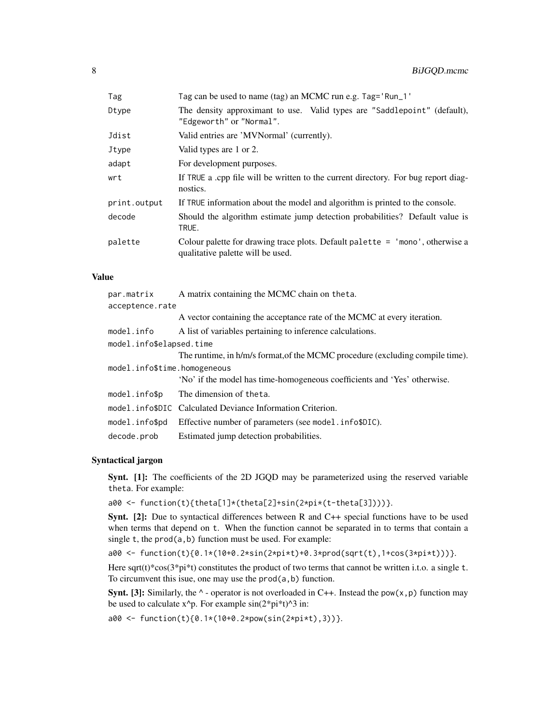| Tag          | Tag can be used to name (tag) an MCMC run e.g. Tag='Run_1'                                                           |
|--------------|----------------------------------------------------------------------------------------------------------------------|
| Dtype        | The density approximant to use. Valid types are "Saddlepoint" (default),<br>"Edgeworth" or "Normal".                 |
| Jdist        | Valid entries are 'MVNormal' (currently).                                                                            |
| Jtype        | Valid types are 1 or 2.                                                                                              |
| adapt        | For development purposes.                                                                                            |
| wrt          | If TRUE a cpp file will be written to the current directory. For bug report diag-<br>nostics.                        |
| print.output | If TRUE information about the model and algorithm is printed to the console.                                         |
| decode       | Should the algorithm estimate jump detection probabilities? Default value is<br>TRUE.                                |
| palette      | Colour palette for drawing trace plots. Default palette $=$ 'mono', otherwise a<br>qualitative palette will be used. |
|              |                                                                                                                      |

# Value

| par.matrix                   | A matrix containing the MCMC chain on theta.                                  |
|------------------------------|-------------------------------------------------------------------------------|
| acceptence.rate              |                                                                               |
|                              | A vector containing the acceptance rate of the MCMC at every iteration.       |
| model.info                   | A list of variables pertaining to inference calculations.                     |
| model.info\$elapsed.time     |                                                                               |
|                              | The runtime, in h/m/s format, of the MCMC procedure (excluding compile time). |
| model.info\$time.homogeneous |                                                                               |
|                              | 'No' if the model has time-homogeneous coefficients and 'Yes' otherwise.      |
| model.info\$p                | The dimension of theta.                                                       |
|                              | model.info\$DIC Calculated Deviance Information Criterion.                    |
| model.info\$pd               | Effective number of parameters (see model.info\$DIC).                         |
| decode.prob                  | Estimated jump detection probabilities.                                       |

# Syntactical jargon

Synt. [1]: The coefficients of the 2D JGQD may be parameterized using the reserved variable theta. For example:

a00 <- function(t){theta[1]\*(theta[2]+sin(2\*pi\*(t-theta[3])))}.

Synt. [2]: Due to syntactical differences between R and C++ special functions have to be used when terms that depend on t. When the function cannot be separated in to terms that contain a single t, the prod(a,b) function must be used. For example:

a00 <- function(t){0.1\*(10+0.2\*sin(2\*pi\*t)+0.3\*prod(sqrt(t),1+cos(3\*pi\*t)))}.

Here sqrt(t)\*cos( $3$ \*pi\*t) constitutes the product of two terms that cannot be written i.t.o. a single t. To circumvent this isue, one may use the prod(a,b) function.

**Synt.** [3]: Similarly, the  $\land$  - operator is not overloaded in C++. Instead the pow(x, p) function may be used to calculate  $x^p$ . For example  $sin(2*pi*t)^3$  in:

a00 <- function(t){0.1\*(10+0.2\*pow(sin(2\*pi\*t),3))}.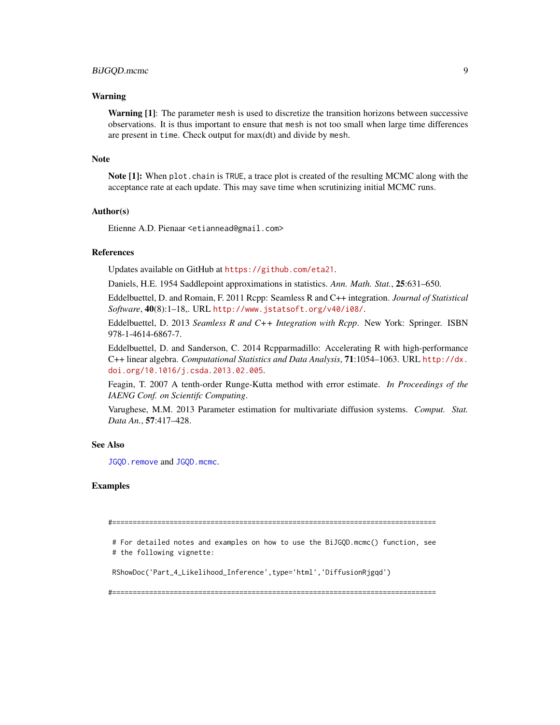#### <span id="page-8-0"></span>Warning

**Warning [1]:** The parameter mesh is used to discretize the transition horizons between successive observations. It is thus important to ensure that mesh is not too small when large time differences are present in time. Check output for max(dt) and divide by mesh.

#### Note

Note [1]: When plot.chain is TRUE, a trace plot is created of the resulting MCMC along with the acceptance rate at each update. This may save time when scrutinizing initial MCMC runs.

#### Author(s)

Etienne A.D. Pienaar <etiannead@gmail.com>

#### References

Updates available on GitHub at <https://github.com/eta21>.

Daniels, H.E. 1954 Saddlepoint approximations in statistics. *Ann. Math. Stat.*, 25:631–650.

Eddelbuettel, D. and Romain, F. 2011 Rcpp: Seamless R and C++ integration. *Journal of Statistical Software*, 40(8):1–18,. URL <http://www.jstatsoft.org/v40/i08/>.

Eddelbuettel, D. 2013 *Seamless R and C++ Integration with Rcpp*. New York: Springer. ISBN 978-1-4614-6867-7.

Eddelbuettel, D. and Sanderson, C. 2014 Rcpparmadillo: Accelerating R with high-performance C++ linear algebra. *Computational Statistics and Data Analysis*, 71:1054–1063. URL [http://dx.](http://dx.doi.org/10.1016/j.csda.2013.02.005) [doi.org/10.1016/j.csda.2013.02.005](http://dx.doi.org/10.1016/j.csda.2013.02.005).

Feagin, T. 2007 A tenth-order Runge-Kutta method with error estimate. *In Proceedings of the IAENG Conf. on Scientifc Computing*.

Varughese, M.M. 2013 Parameter estimation for multivariate diffusion systems. *Comput. Stat. Data An.*, 57:417–428.

#### See Also

[JGQD.remove](#page-19-1) and [JGQD.mcmc](#page-14-1).

#### Examples

#===============================================================================

# For detailed notes and examples on how to use the BiJGQD.mcmc() function, see # the following vignette:

RShowDoc('Part\_4\_Likelihood\_Inference',type='html','DiffusionRjgqd')

#===============================================================================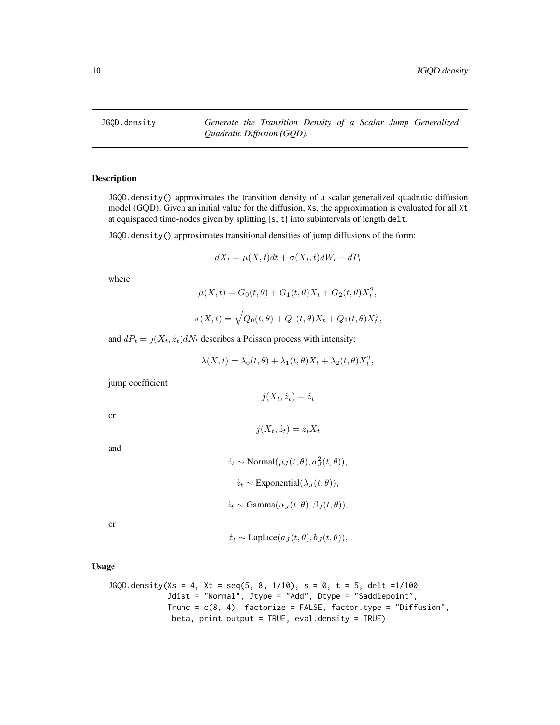<span id="page-9-1"></span><span id="page-9-0"></span>JGQD.density *Generate the Transition Density of a Scalar Jump Generalized Quadratic Diffusion (GQD).*

#### Description

JGQD.density() approximates the transition density of a scalar generalized quadratic diffusion model (GQD). Given an initial value for the diffusion, Xs, the approximation is evaluated for all Xt at equispaced time-nodes given by splitting [s, t] into subintervals of length delt.

JGQD.density() approximates transitional densities of jump diffusions of the form:

$$
dX_t = \mu(X, t)dt + \sigma(X_t, t)dW_t + dP_t
$$

where

$$
\mu(X, t) = G_0(t, \theta) + G_1(t, \theta)X_t + G_2(t, \theta)X_t^2,
$$

$$
\sigma(X,t) = \sqrt{Q_0(t,\theta) + Q_1(t,\theta)X_t + Q_2(t,\theta)X_t^2},
$$

and  $dP_t = j(X_t, \dot{z}_t) dN_t$  describes a Poisson process with intensity:

$$
\lambda(X,t) = \lambda_0(t,\theta) + \lambda_1(t,\theta)X_t + \lambda_2(t,\theta)X_t^2,
$$

jump coefficient

 $j(X_t, \dot{z}_t) = \dot{z}_t$ 

 $j(X_t, \dot{z}_t) = \dot{z}_t X_t$ 

or

and

$$
\dot{z}_t \sim \text{Normal}(\mu_J(t, \theta), \sigma_J^2(t, \theta)),
$$
  

$$
\dot{z}_t \sim \text{Exponential}(\lambda_J(t, \theta)),
$$
  

$$
\dot{z}_t \sim \text{Gamma}(\alpha_J(t, \theta), \beta_J(t, \theta)),
$$

or

$$
\dot{z}_t \sim \text{Laplace}(a_J(t, \theta), b_J(t, \theta)).
$$

Usage

```
JGQD.density(Xs = 4, Xt = seq(5, 8, 1/10), s = 0, t = 5, delt = 1/100,Jdist = "Normal", Jtype = "Add", Dtype = "Saddlepoint",
            Trunc = c(8, 4), factorize = FALSE, factor.type = "Diffusion",
             beta, print.output = TRUE, eval.density = TRUE)
```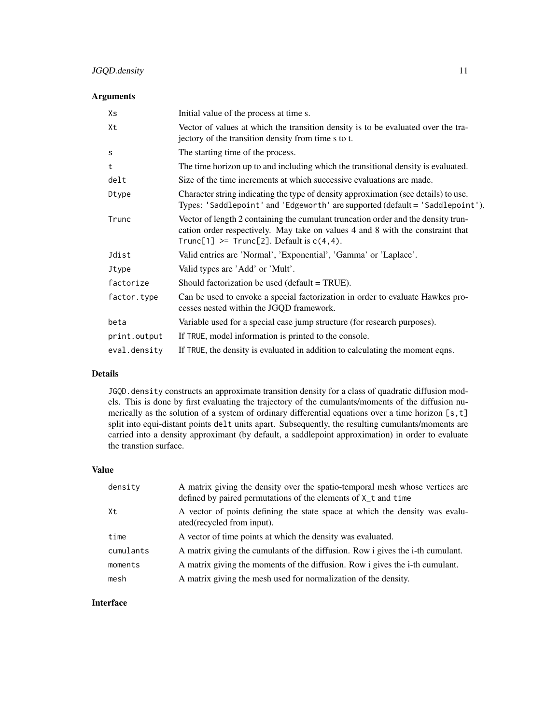# JGQD.density 11

# Arguments

| Χs           | Initial value of the process at time s.                                                                                                                                                                               |
|--------------|-----------------------------------------------------------------------------------------------------------------------------------------------------------------------------------------------------------------------|
| Xt           | Vector of values at which the transition density is to be evaluated over the tra-<br>jectory of the transition density from time s to t.                                                                              |
| S            | The starting time of the process.                                                                                                                                                                                     |
| t            | The time horizon up to and including which the transitional density is evaluated.                                                                                                                                     |
| delt         | Size of the time increments at which successive evaluations are made.                                                                                                                                                 |
| Dtype        | Character string indicating the type of density approximation (see details) to use.<br>Types: 'Saddlepoint' and 'Edgeworth' are supported (default = 'Saddlepoint').                                                  |
| Trunc        | Vector of length 2 containing the cumulant truncation order and the density trun-<br>cation order respectively. May take on values 4 and 8 with the constraint that<br>Trunc[1] >= $Trunc[2]$ . Default is $c(4,4)$ . |
| Jdist        | Valid entries are 'Normal', 'Exponential', 'Gamma' or 'Laplace'.                                                                                                                                                      |
| Jtype        | Valid types are 'Add' or 'Mult'.                                                                                                                                                                                      |
| factorize    | Should factorization be used (default = TRUE).                                                                                                                                                                        |
| factor.type  | Can be used to envoke a special factorization in order to evaluate Hawkes pro-<br>cesses nested within the JGQD framework.                                                                                            |
| beta         | Variable used for a special case jump structure (for research purposes).                                                                                                                                              |
| print.output | If TRUE, model information is printed to the console.                                                                                                                                                                 |
| eval.density | If TRUE, the density is evaluated in addition to calculating the moment eqns.                                                                                                                                         |

# Details

JGQD. density constructs an approximate transition density for a class of quadratic diffusion models. This is done by first evaluating the trajectory of the cumulants/moments of the diffusion numerically as the solution of a system of ordinary differential equations over a time horizon [s,t] split into equi-distant points delt units apart. Subsequently, the resulting cumulants/moments are carried into a density approximant (by default, a saddlepoint approximation) in order to evaluate the transtion surface.

# Value

| density   | A matrix giving the density over the spatio-temporal mesh whose vertices are<br>defined by paired permutations of the elements of X_t and time |
|-----------|------------------------------------------------------------------------------------------------------------------------------------------------|
| Xt        | A vector of points defining the state space at which the density was evalu-<br>ated(recycled from input).                                      |
| time      | A vector of time points at which the density was evaluated.                                                                                    |
| cumulants | A matrix giving the cumulants of the diffusion. Row i gives the i-th cumulant.                                                                 |
| moments   | A matrix giving the moments of the diffusion. Row i gives the i-th cumulant.                                                                   |
| mesh      | A matrix giving the mesh used for normalization of the density.                                                                                |

# Interface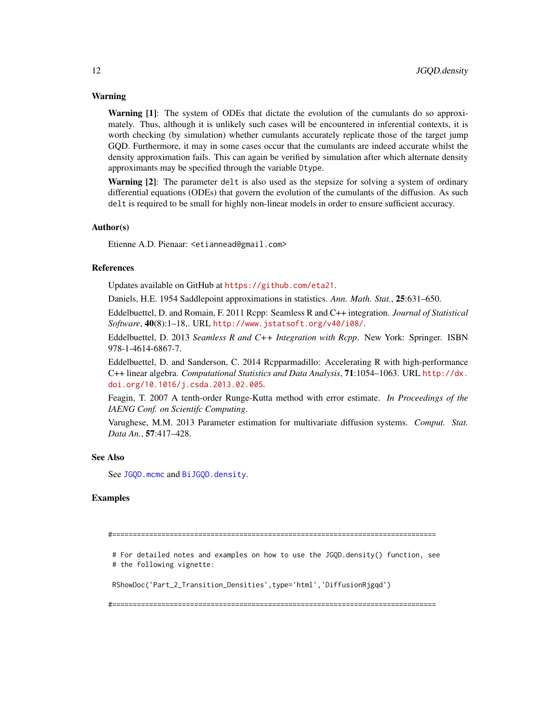#### <span id="page-11-0"></span>Warning

Warning [1]: The system of ODEs that dictate the evolution of the cumulants do so approximately. Thus, although it is unlikely such cases will be encountered in inferential contexts, it is worth checking (by simulation) whether cumulants accurately replicate those of the target jump GQD. Furthermore, it may in some cases occur that the cumulants are indeed accurate whilst the density approximation fails. This can again be verified by simulation after which alternate density approximants may be specified through the variable Dtype.

Warning [2]: The parameter delt is also used as the stepsize for solving a system of ordinary differential equations (ODEs) that govern the evolution of the cumulants of the diffusion. As such delt is required to be small for highly non-linear models in order to ensure sufficient accuracy.

#### Author(s)

Etienne A.D. Pienaar: <etiannead@gmail.com>

#### References

Updates available on GitHub at <https://github.com/eta21>.

Daniels, H.E. 1954 Saddlepoint approximations in statistics. *Ann. Math. Stat.*, 25:631–650.

Eddelbuettel, D. and Romain, F. 2011 Rcpp: Seamless R and C++ integration. *Journal of Statistical Software*, 40(8):1–18,. URL <http://www.jstatsoft.org/v40/i08/>.

Eddelbuettel, D. 2013 *Seamless R and C++ Integration with Rcpp*. New York: Springer. ISBN 978-1-4614-6867-7.

Eddelbuettel, D. and Sanderson, C. 2014 Rcpparmadillo: Accelerating R with high-performance C++ linear algebra. *Computational Statistics and Data Analysis*, 71:1054–1063. URL [http://dx.](http://dx.doi.org/10.1016/j.csda.2013.02.005) [doi.org/10.1016/j.csda.2013.02.005](http://dx.doi.org/10.1016/j.csda.2013.02.005).

Feagin, T. 2007 A tenth-order Runge-Kutta method with error estimate. *In Proceedings of the IAENG Conf. on Scientifc Computing*.

Varughese, M.M. 2013 Parameter estimation for multivariate diffusion systems. *Comput. Stat. Data An.*, 57:417–428.

#### See Also

See JGOD.mcmc and BiJGOD.density.

#### Examples

#===============================================================================

# For detailed notes and examples on how to use the JGQD.density() function, see # the following vignette:

RShowDoc('Part\_2\_Transition\_Densities',type='html','DiffusionRjgqd')

#===============================================================================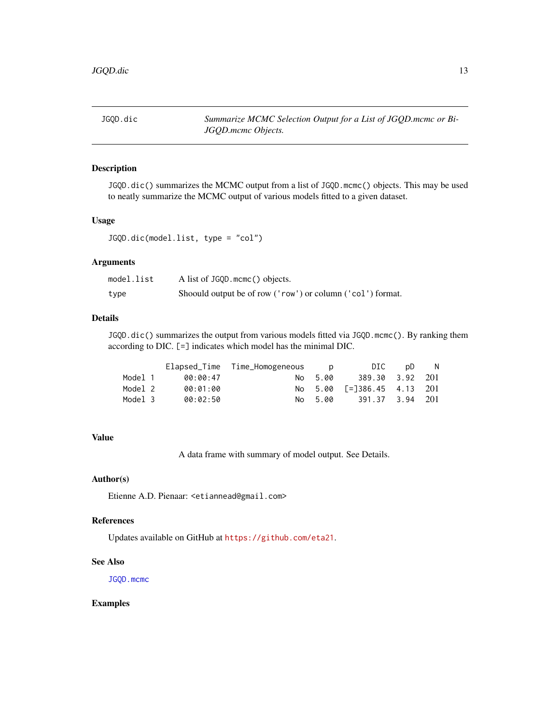<span id="page-12-1"></span><span id="page-12-0"></span>JGQD.dic *Summarize MCMC Selection Output for a List of JGQD.mcmc or Bi-JGQD.mcmc Objects.*

#### Description

JGQD.dic() summarizes the MCMC output from a list of JGQD.mcmc() objects. This may be used to neatly summarize the MCMC output of various models fitted to a given dataset.

# Usage

JGQD.dic(model.list, type = "col")

# Arguments

| model.list | A list of JGQD. mcmc() objects.                            |
|------------|------------------------------------------------------------|
| type       | Shoould output be of row ('row') or column ('col') format. |

# Details

JGQD.dic() summarizes the output from various models fitted via JGQD.mcmc(). By ranking them according to DIC. [=] indicates which model has the minimal DIC.

|         |          | Elapsed_Time Time_Homogeneous | D D     | DIC                                       | .nD | - N |
|---------|----------|-------------------------------|---------|-------------------------------------------|-----|-----|
| Model 1 | 00:00:47 |                               | No 5.00 | 389.30 3.92 201                           |     |     |
| Model 2 | 00:01:00 |                               |         | No 5.00 $\lceil = 386.45 \rceil$ 4.13 201 |     |     |
| Model 3 | 00:02:50 |                               | No 5.00 | 391.37 3.94 201                           |     |     |

# Value

A data frame with summary of model output. See Details.

# Author(s)

Etienne A.D. Pienaar: <etiannead@gmail.com>

#### References

Updates available on GitHub at <https://github.com/eta21>.

#### See Also

[JGQD.mcmc](#page-14-1)

# Examples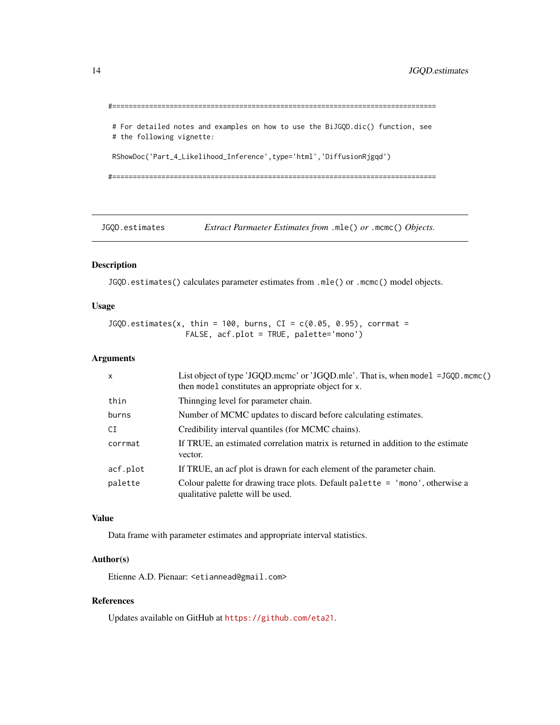```
#===============================================================================
```
# For detailed notes and examples on how to use the BiJGQD.dic() function, see # the following vignette:

RShowDoc('Part\_4\_Likelihood\_Inference',type='html','DiffusionRjgqd')

#===============================================================================

JGQD.estimates *Extract Parmaeter Estimates from* .mle() *or* .mcmc() *Objects.*

#### Description

JGQD.estimates() calculates parameter estimates from .mle() or .mcmc() model objects.

# Usage

 $JGQD.$  estimates(x, thin = 100, burns,  $CI = c(0.05, 0.95)$ , corrmat = FALSE, acf.plot = TRUE, palette='mono')

# Arguments

| $\mathsf{x}$ | List object of type 'JGQD.mcmc' or 'JGQD.mle'. That is, when model =JGQD.mcmc()<br>then model constitutes an appropriate object for x. |
|--------------|----------------------------------------------------------------------------------------------------------------------------------------|
| thin         | Thinnging level for parameter chain.                                                                                                   |
| burns        | Number of MCMC updates to discard before calculating estimates.                                                                        |
| CI           | Credibility interval quantiles (for MCMC chains).                                                                                      |
| corrmat      | If TRUE, an estimated correlation matrix is returned in addition to the estimate<br>vector.                                            |
| acf.plot     | If TRUE, an acf plot is drawn for each element of the parameter chain.                                                                 |
| palette      | Colour palette for drawing trace plots. Default palette $=$ 'mono', otherwise a<br>qualitative palette will be used.                   |

# Value

Data frame with parameter estimates and appropriate interval statistics.

# Author(s)

Etienne A.D. Pienaar: <etiannead@gmail.com>

# References

Updates available on GitHub at <https://github.com/eta21>.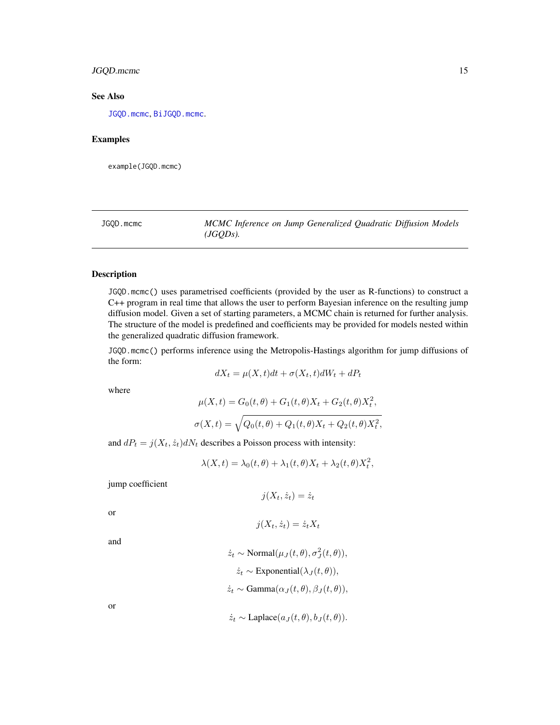# <span id="page-14-0"></span>JGQD.mcmc 15

# See Also

[JGQD.mcmc](#page-14-1), [BiJGQD.mcmc](#page-5-1).

#### Examples

example(JGQD.mcmc)

<span id="page-14-1"></span>JGQD.mcmc *MCMC Inference on Jump Generalized Quadratic Diffusion Models (JGQDs).*

# Description

JGQD.mcmc() uses parametrised coefficients (provided by the user as R-functions) to construct a C++ program in real time that allows the user to perform Bayesian inference on the resulting jump diffusion model. Given a set of starting parameters, a MCMC chain is returned for further analysis. The structure of the model is predefined and coefficients may be provided for models nested within the generalized quadratic diffusion framework.

JGQD.mcmc() performs inference using the Metropolis-Hastings algorithm for jump diffusions of the form:

$$
dX_t = \mu(X, t)dt + \sigma(X_t, t)dW_t + dP_t
$$

where

$$
\mu(X,t) = G_0(t,\theta) + G_1(t,\theta)X_t + G_2(t,\theta)X_t^2,
$$
  

$$
\sigma(X,t) = \sqrt{Q_0(t,\theta) + Q_1(t,\theta)X_t + Q_2(t,\theta)X_t^2},
$$

and  $dP_t = j(X_t, \dot{z}_t) dN_t$  describes a Poisson process with intensity:

$$
\lambda(X,t) = \lambda_0(t,\theta) + \lambda_1(t,\theta)X_t + \lambda_2(t,\theta)X_t^2,
$$

jump coefficient

$$
j(X_t, \dot{z}_t) = \dot{z}_t
$$

or

$$
j(X_t, \dot{z}_t) = \dot{z}_t X_t
$$

and

$$
\dot{z}_t \sim \text{Normal}(\mu_J(t, \theta), \sigma_J^2(t, \theta)),
$$

$$
\dot{z}_t \sim \text{Exponential}(\lambda_J(t, \theta)),
$$

$$
\dot{z}_t \sim \text{Gamma}(\alpha_J(t, \theta), \beta_J(t, \theta)),
$$

or

$$
\dot{z}_t \sim \text{Laplace}(a_J(t, \theta), b_J(t, \theta)).
$$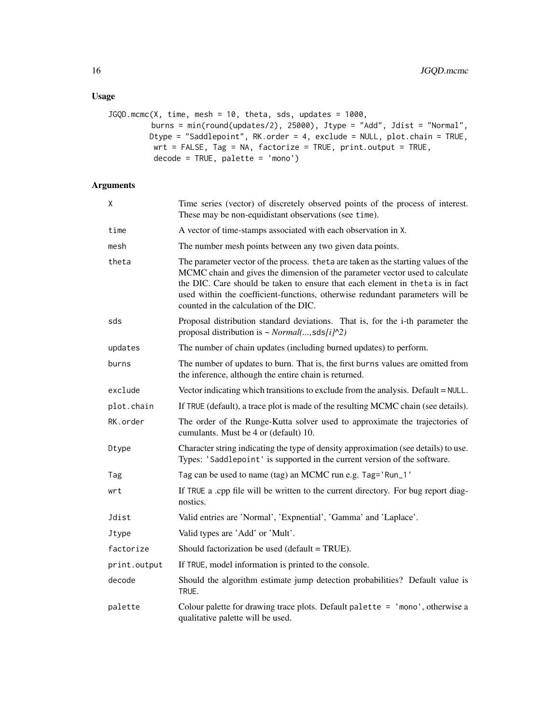# Usage

```
JGQD.mcmc(X, time, mesh = 10, theta, sds, updates = 1000,
         burns = min(round(updates/2), 25000), Jtype = "Add", Jdist = "Normal",
         Dtype = "Saddlepoint", RK.order = 4, exclude = NULL, plot.chain = TRUE,
         wrt = FALSE, Tag = NA, factorize = TRUE, print.output = TRUE,
         decode = TRUE, palette = 'mono')
```
# Arguments

| Χ            | Time series (vector) of discretely observed points of the process of interest.<br>These may be non-equidistant observations (see time).                                                                                                                                                                                                                                         |
|--------------|---------------------------------------------------------------------------------------------------------------------------------------------------------------------------------------------------------------------------------------------------------------------------------------------------------------------------------------------------------------------------------|
| time         | A vector of time-stamps associated with each observation in X.                                                                                                                                                                                                                                                                                                                  |
| mesh         | The number mesh points between any two given data points.                                                                                                                                                                                                                                                                                                                       |
| theta        | The parameter vector of the process. the ta are taken as the starting values of the<br>MCMC chain and gives the dimension of the parameter vector used to calculate<br>the DIC. Care should be taken to ensure that each element in theta is in fact<br>used within the coefficient-functions, otherwise redundant parameters will be<br>counted in the calculation of the DIC. |
| sds          | Proposal distribution standard deviations. That is, for the i-th parameter the<br>proposal distribution is ~ $Normal(, sds[i]^2)$                                                                                                                                                                                                                                               |
| updates      | The number of chain updates (including burned updates) to perform.                                                                                                                                                                                                                                                                                                              |
| burns        | The number of updates to burn. That is, the first burns values are omitted from<br>the inference, although the entire chain is returned.                                                                                                                                                                                                                                        |
| exclude      | Vector indicating which transitions to exclude from the analysis. Default = NULL.                                                                                                                                                                                                                                                                                               |
| plot.chain   | If TRUE (default), a trace plot is made of the resulting MCMC chain (see details).                                                                                                                                                                                                                                                                                              |
| RK.order     | The order of the Runge-Kutta solver used to approximate the trajectories of<br>cumulants. Must be 4 or (default) 10.                                                                                                                                                                                                                                                            |
| Dtype        | Character string indicating the type of density approximation (see details) to use.<br>Types: 'Saddlepoint' is supported in the current version of the software.                                                                                                                                                                                                                |
| Tag          | Tag can be used to name (tag) an MCMC run e.g. Tag='Run_1'                                                                                                                                                                                                                                                                                                                      |
| wrt          | If TRUE a .cpp file will be written to the current directory. For bug report diag-<br>nostics.                                                                                                                                                                                                                                                                                  |
| Jdist        | Valid entries are 'Normal', 'Expnential', 'Gamma' and 'Laplace'.                                                                                                                                                                                                                                                                                                                |
| Jtype        | Valid types are 'Add' or 'Mult'.                                                                                                                                                                                                                                                                                                                                                |
| factorize    | Should factorization be used (default = TRUE).                                                                                                                                                                                                                                                                                                                                  |
| print.output | If TRUE, model information is printed to the console.                                                                                                                                                                                                                                                                                                                           |
| decode       | Should the algorithm estimate jump detection probabilities? Default value is<br>TRUE.                                                                                                                                                                                                                                                                                           |
| palette      | Colour palette for drawing trace plots. Default palette $=$ 'mono', otherwise a<br>qualitative palette will be used.                                                                                                                                                                                                                                                            |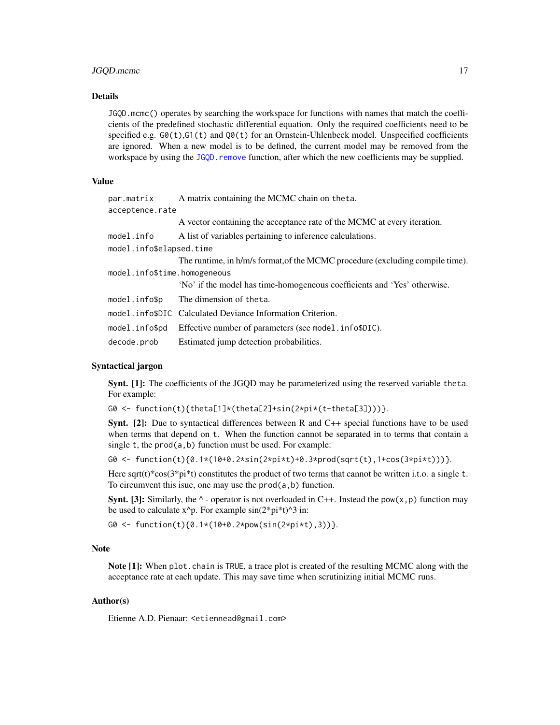# <span id="page-16-0"></span>JGQD.mcmc 17

# Details

JGQD.mcmc() operates by searching the workspace for functions with names that match the coefficients of the predefined stochastic differential equation. Only the required coefficients need to be specified e.g.  $GQ(t)$ , $G1(t)$  and  $QQ(t)$  for an Ornstein-Uhlenbeck model. Unspecified coefficients are ignored. When a new model is to be defined, the current model may be removed from the workspace by using the JGQD, remove function, after which the new coefficients may be supplied.

#### Value

| par.matrix                   | A matrix containing the MCMC chain on theta.                                  |
|------------------------------|-------------------------------------------------------------------------------|
| acceptence.rate              |                                                                               |
|                              | A vector containing the acceptance rate of the MCMC at every iteration.       |
| model.info                   | A list of variables pertaining to inference calculations.                     |
| model.info\$elapsed.time     |                                                                               |
|                              | The runtime, in h/m/s format, of the MCMC procedure (excluding compile time). |
| model.info\$time.homogeneous |                                                                               |
|                              | 'No' if the model has time-homogeneous coefficients and 'Yes' otherwise.      |
| model.info\$p                | The dimension of theta.                                                       |
|                              | model.info\$DIC Calculated Deviance Information Criterion.                    |
| model.info\$pd               | Effective number of parameters (see model.info\$DIC).                         |
| decode.prob                  | Estimated jump detection probabilities.                                       |

# Syntactical jargon

Synt. [1]: The coefficients of the JGQD may be parameterized using the reserved variable theta. For example:

G0 <- function(t){theta[1]\*(theta[2]+sin(2\*pi\*(t-theta[3])))}.

Synt. [2]: Due to syntactical differences between R and C++ special functions have to be used when terms that depend on t. When the function cannot be separated in to terms that contain a single t, the prod(a,b) function must be used. For example:

G0 <- function(t){0.1\*(10+0.2\*sin(2\*pi\*t)+0.3\*prod(sqrt(t),1+cos(3\*pi\*t)))}.

Here sqrt(t)\*cos( $3$ \*pi\*t) constitutes the product of two terms that cannot be written i.t.o. a single t. To circumvent this isue, one may use the prod(a,b) function.

**Synt.** [3]: Similarly, the  $\land$ - operator is not overloaded in C++. Instead the pow( $x, p$ ) function may be used to calculate  $x^p$ . For example  $sin(2*pi*t)^3$  in:

G0 <- function(t){0.1\*(10+0.2\*pow(sin(2\*pi\*t),3))}.

# Note

Note [1]: When plot.chain is TRUE, a trace plot is created of the resulting MCMC along with the acceptance rate at each update. This may save time when scrutinizing initial MCMC runs.

#### Author(s)

Etienne A.D. Pienaar: <etiennead@gmail.com>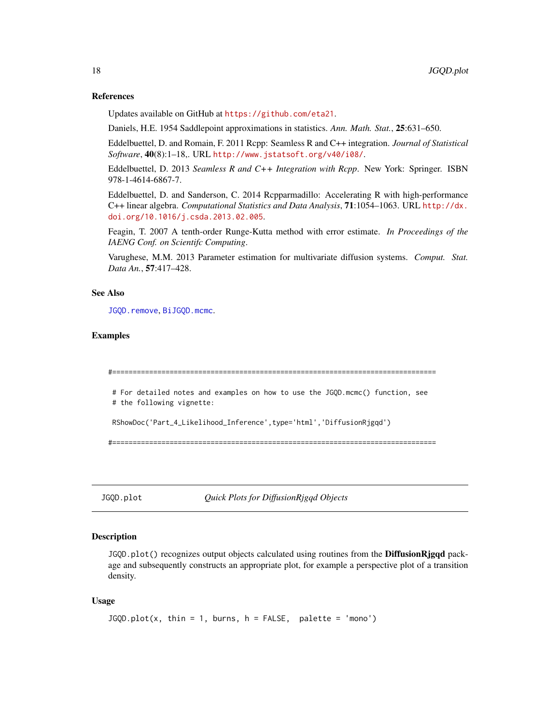#### References

Updates available on GitHub at <https://github.com/eta21>.

Daniels, H.E. 1954 Saddlepoint approximations in statistics. *Ann. Math. Stat.*, 25:631–650.

Eddelbuettel, D. and Romain, F. 2011 Rcpp: Seamless R and C++ integration. *Journal of Statistical Software*, 40(8):1–18,. URL <http://www.jstatsoft.org/v40/i08/>.

Eddelbuettel, D. 2013 *Seamless R and C++ Integration with Rcpp*. New York: Springer. ISBN 978-1-4614-6867-7.

Eddelbuettel, D. and Sanderson, C. 2014 Rcpparmadillo: Accelerating R with high-performance C++ linear algebra. *Computational Statistics and Data Analysis*, 71:1054–1063. URL [http://dx.](http://dx.doi.org/10.1016/j.csda.2013.02.005) [doi.org/10.1016/j.csda.2013.02.005](http://dx.doi.org/10.1016/j.csda.2013.02.005).

Feagin, T. 2007 A tenth-order Runge-Kutta method with error estimate. *In Proceedings of the IAENG Conf. on Scientifc Computing*.

Varughese, M.M. 2013 Parameter estimation for multivariate diffusion systems. *Comput. Stat. Data An.*, 57:417–428.

#### See Also

[JGQD.remove](#page-19-1), [BiJGQD.mcmc](#page-5-1).

#### Examples

```
#===============================================================================
# For detailed notes and examples on how to use the JGQD.mcmc() function, see
# the following vignette:
RShowDoc('Part_4_Likelihood_Inference',type='html','DiffusionRjgqd')
```
#===============================================================================

JGQD.plot *Quick Plots for DiffusionRjgqd Objects*

# **Description**

JGQD.plot() recognizes output objects calculated using routines from the **DiffusionRjgqd** package and subsequently constructs an appropriate plot, for example a perspective plot of a transition density.

#### Usage

```
JGQD.plot(x, thin = 1, burns, h = FALSE, palette = 'mono')
```
<span id="page-17-0"></span>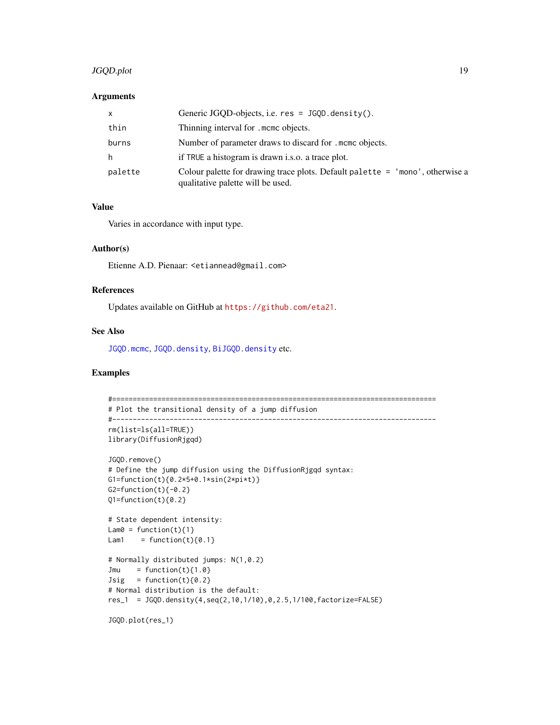# <span id="page-18-0"></span>JGQD.plot 19

#### **Arguments**

| X       | Generic JGQD-objects, i.e. $res = JGQD$ . density().                                                               |
|---------|--------------------------------------------------------------------------------------------------------------------|
| thin    | Thinning interval for . mome objects.                                                                              |
| burns   | Number of parameter draws to discard for . mome objects.                                                           |
| h       | if TRUE a histogram is drawn i.s.o. a trace plot.                                                                  |
| palette | Colour palette for drawing trace plots. Default palette = 'mono', otherwise a<br>qualitative palette will be used. |

# Value

Varies in accordance with input type.

#### Author(s)

Etienne A.D. Pienaar: <etiannead@gmail.com>

#### References

Updates available on GitHub at <https://github.com/eta21>.

# See Also

[JGQD.mcmc](#page-14-1), [JGQD.density](#page-9-1), [BiJGQD.density](#page-2-1) etc.

# Examples

```
#===============================================================================
# Plot the transitional density of a jump diffusion
#-------------------------------------------------------------------------------
rm(list=ls(all=TRUE))
library(DiffusionRjgqd)
JGQD.remove()
# Define the jump diffusion using the DiffusionRjgqd syntax:
G1=function(t){0.2*5+0.1*sin(2*pi*t)}
G2=function(t){-0.2}
Q1 = function(t){0.2}# State dependent intensity:
Lam0 = function(t){1}Lam1 = function(t)\{0.1\}# Normally distributed jumps: N(1,0.2)
Jmu = function(t){1.0}
Jsig = function(t){0.2}# Normal distribution is the default:
res_1 = JGQD.density(4,seq(2,10,1/10),0,2.5,1/100,factorize=FALSE)
JGQD.plot(res_1)
```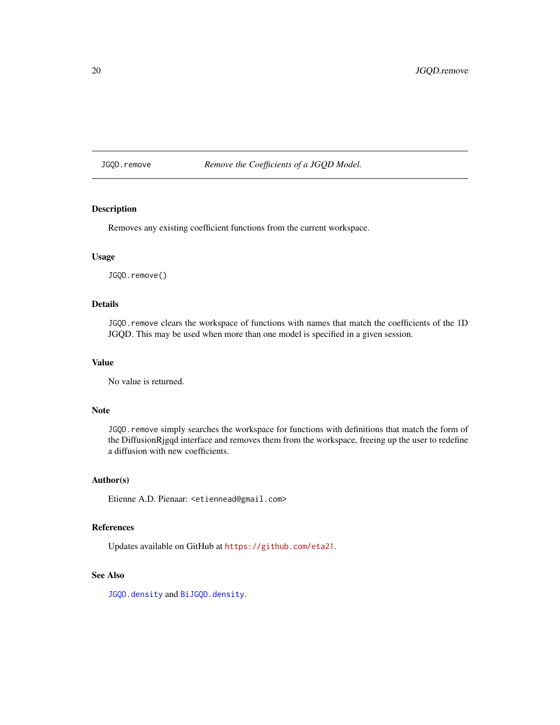<span id="page-19-1"></span><span id="page-19-0"></span>JGQD.remove *Remove the Coefficients of a JGQD Model.*

# Description

Removes any existing coefficient functions from the current workspace.

# Usage

JGQD.remove()

#### Details

JGQD.remove clears the workspace of functions with names that match the coefficients of the 1D JGQD. This may be used when more than one model is specified in a given session.

#### Value

No value is returned.

# Note

JGQD. remove simply searches the workspace for functions with definitions that match the form of the DiffusionRjgqd interface and removes them from the workspace, freeing up the user to redefine a diffusion with new coefficients.

#### Author(s)

Etienne A.D. Pienaar: <etiennead@gmail.com>

# References

Updates available on GitHub at <https://github.com/eta21>.

#### See Also

[JGQD.density](#page-9-1) and [BiJGQD.density](#page-2-1).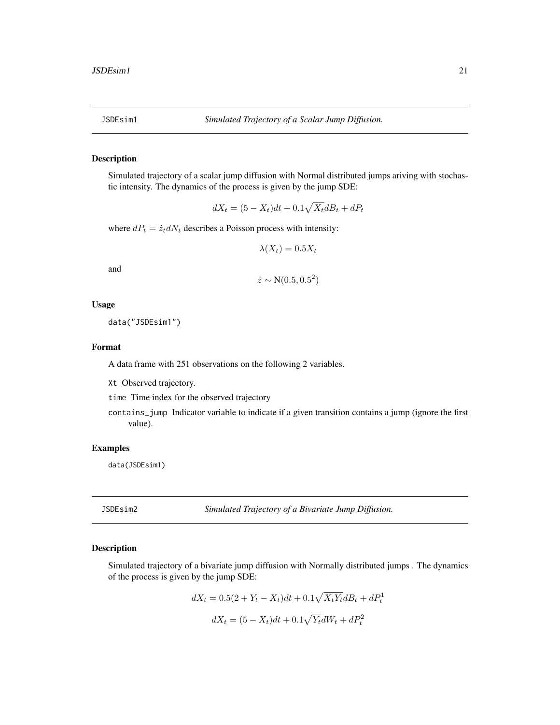<span id="page-20-0"></span>

#### Description

Simulated trajectory of a scalar jump diffusion with Normal distributed jumps ariving with stochastic intensity. The dynamics of the process is given by the jump SDE:

$$
dX_t = (5 - X_t)dt + 0.1\sqrt{X_t}dB_t + dP_t
$$

where  $dP_t = \dot{z}_t dN_t$  describes a Poisson process with intensity:

$$
\lambda(X_t) = 0.5X_t
$$

and

$$
\dot{z} \sim N(0.5, 0.5^2)
$$

#### Usage

data("JSDEsim1")

# Format

A data frame with 251 observations on the following 2 variables.

Xt Observed trajectory.

time Time index for the observed trajectory

contains\_jump Indicator variable to indicate if a given transition contains a jump (ignore the first value).

# Examples

data(JSDEsim1)

JSDEsim2 *Simulated Trajectory of a Bivariate Jump Diffusion.*

#### Description

Simulated trajectory of a bivariate jump diffusion with Normally distributed jumps . The dynamics of the process is given by the jump SDE:

$$
dX_t = 0.5(2 + Y_t - X_t)dt + 0.1\sqrt{X_tY_t}dB_t + dP_t^1
$$
  

$$
dX_t = (5 - X_t)dt + 0.1\sqrt{Y_t}dW_t + dP_t^2
$$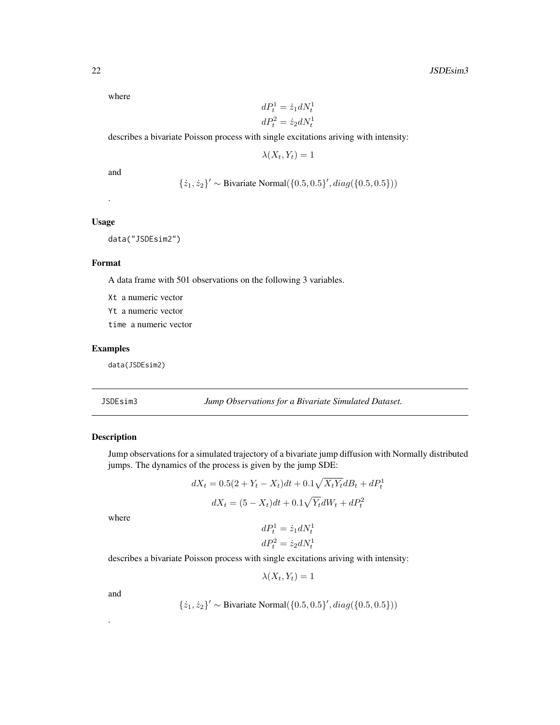<span id="page-21-0"></span>where

$$
dP_t^1 = \dot{z}_1 dN_t^1
$$
  

$$
dP_t^2 = \dot{z}_2 dN_t^1
$$

describes a bivariate Poisson process with single excitations ariving with intensity:

 $\lambda(X_t, Y_t) = 1$ 

and

 $\{\dot{z}_1, \dot{z}_2\}' \sim$  Bivariate Normal $(\{0.5, 0.5\}', diag(\{0.5, 0.5\}))$ 

#### Usage

.

data("JSDEsim2")

#### Format

A data frame with 501 observations on the following 3 variables.

Xt a numeric vector

Yt a numeric vector

time a numeric vector

# Examples

data(JSDEsim2)

JSDEsim3 *Jump Observations for a Bivariate Simulated Dataset.*

# Description

Jump observations for a simulated trajectory of a bivariate jump diffusion with Normally distributed jumps. The dynamics of the process is given by the jump SDE:

$$
dX_t = 0.5(2 + Y_t - X_t)dt + 0.1\sqrt{X_tY_t}dB_t + dP_t^1
$$
  

$$
dX_t = (5 - X_t)dt + 0.1\sqrt{Y_t}dW_t + dP_t^2
$$

where

$$
dP_t^1 = \dot{z}_1 dN_t^1
$$
  

$$
dP_t^2 = \dot{z}_2 dN_t^1
$$

describes a bivariate Poisson process with single excitations ariving with intensity:

 $\lambda(X_t, Y_t) = 1$ 

and

.

$$
\{\dot{z}_1, \dot{z}_2\}' \sim \text{Bivariate Normal}(\{0.5, 0.5\}', diag(\{0.5, 0.5\}))
$$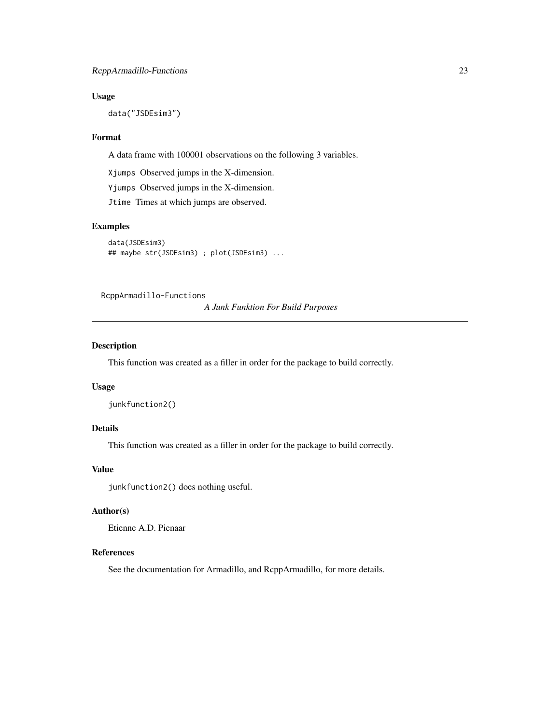# <span id="page-22-0"></span>Usage

data("JSDEsim3")

### Format

A data frame with 100001 observations on the following 3 variables.

Xjumps Observed jumps in the X-dimension.

Yjumps Observed jumps in the X-dimension.

Jtime Times at which jumps are observed.

# Examples

```
data(JSDEsim3)
## maybe str(JSDEsim3) ; plot(JSDEsim3) ...
```
RcppArmadillo-Functions

*A Junk Funktion For Build Purposes*

#### Description

This function was created as a filler in order for the package to build correctly.

# Usage

```
junkfunction2()
```
# Details

This function was created as a filler in order for the package to build correctly.

# Value

junkfunction2() does nothing useful.

# Author(s)

Etienne A.D. Pienaar

#### References

See the documentation for Armadillo, and RcppArmadillo, for more details.